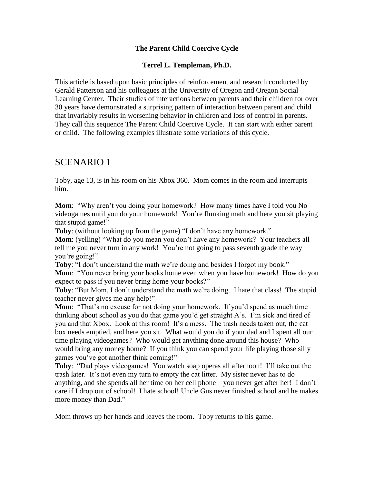#### **The Parent Child Coercive Cycle**

#### **Terrel L. Templeman, Ph.D.**

This article is based upon basic principles of reinforcement and research conducted by Gerald Patterson and his colleagues at the University of Oregon and Oregon Social Learning Center. Their studies of interactions between parents and their children for over 30 years have demonstrated a surprising pattern of interaction between parent and child that invariably results in worsening behavior in children and loss of control in parents. They call this sequence The Parent Child Coercive Cycle. It can start with either parent or child. The following examples illustrate some variations of this cycle.

# SCENARIO 1

Toby, age 13, is in his room on his Xbox 360. Mom comes in the room and interrupts him.

**Mom**: "Why aren"t you doing your homework? How many times have I told you No videogames until you do your homework! You"re flunking math and here you sit playing that stupid game!"

**Toby**: (without looking up from the game) "I don't have any homework."

**Mom**: (yelling) "What do you mean you don"t have any homework? Your teachers all tell me you never turn in any work! You"re not going to pass seventh grade the way you"re going!"

Toby: "I don't understand the math we're doing and besides I forgot my book." **Mom**: "You never bring your books home even when you have homework! How do you expect to pass if you never bring home your books?"

**Toby:** "But Mom, I don't understand the math we're doing. I hate that class! The stupid teacher never gives me any help!"

**Mom:** "That's no excuse for not doing your homework. If you'd spend as much time thinking about school as you do that game you"d get straight A"s. I"m sick and tired of you and that Xbox. Look at this room! It"s a mess. The trash needs taken out, the cat box needs emptied, and here you sit. What would you do if your dad and I spent all our time playing videogames? Who would get anything done around this house? Who would bring any money home? If you think you can spend your life playing those silly games you"ve got another think coming!"

**Toby**: "Dad plays videogames! You watch soap operas all afternoon! I"ll take out the trash later. It's not even my turn to empty the cat litter. My sister never has to do anything, and she spends all her time on her cell phone – you never get after her! I don"t care if I drop out of school! I hate school! Uncle Gus never finished school and he makes more money than Dad."

Mom throws up her hands and leaves the room. Toby returns to his game.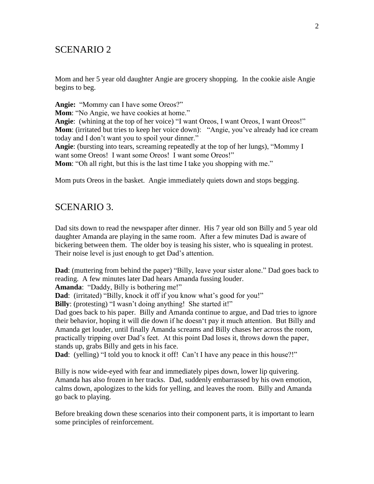# SCENARIO 2

Mom and her 5 year old daughter Angie are grocery shopping. In the cookie aisle Angie begins to beg.

**Angie:** "Mommy can I have some Oreos?" **Mom**: "No Angie, we have cookies at home." **Angie**: (whining at the top of her voice) "I want Oreos, I want Oreos, I want Oreos!" **Mom**: (irritated but tries to keep her voice down): "Angie, you've already had ice cream today and I don"t want you to spoil your dinner." **Angie**: (bursting into tears, screaming repeatedly at the top of her lungs), "Mommy I want some Oreos! I want some Oreos! I want some Oreos!" **Mom**: "Oh all right, but this is the last time I take you shopping with me."

Mom puts Oreos in the basket. Angie immediately quiets down and stops begging.

## SCENARIO 3.

Dad sits down to read the newspaper after dinner. His 7 year old son Billy and 5 year old daughter Amanda are playing in the same room. After a few minutes Dad is aware of bickering between them. The older boy is teasing his sister, who is squealing in protest. Their noise level is just enough to get Dad's attention.

**Dad**: (muttering from behind the paper) "Billy, leave your sister alone." Dad goes back to reading. A few minutes later Dad hears Amanda fussing louder.

**Amanda**: "Daddy, Billy is bothering me!"

**Dad**: (irritated) "Billy, knock it off if you know what's good for you!"

**Billy**: (protesting) "I wasn't doing anything! She started it!"

Dad goes back to his paper. Billy and Amanda continue to argue, and Dad tries to ignore their behavior, hoping it will die down if he doesn"t pay it much attention. But Billy and Amanda get louder, until finally Amanda screams and Billy chases her across the room, practically tripping over Dad"s feet. At this point Dad loses it, throws down the paper, stands up, grabs Billy and gets in his face.

**Dad**: (yelling) "I told you to knock it off! Can't I have any peace in this house?!"

Billy is now wide-eyed with fear and immediately pipes down, lower lip quivering. Amanda has also frozen in her tracks. Dad, suddenly embarrassed by his own emotion, calms down, apologizes to the kids for yelling, and leaves the room. Billy and Amanda go back to playing.

Before breaking down these scenarios into their component parts, it is important to learn some principles of reinforcement.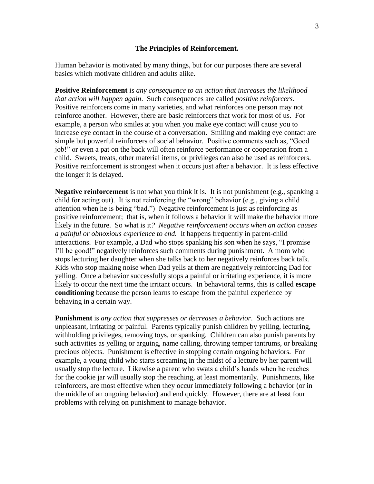#### **The Principles of Reinforcement.**

Human behavior is motivated by many things, but for our purposes there are several basics which motivate children and adults alike.

**Positive Reinforcement** is *any consequence to an action that increases the likelihood that action will happen again*. Such consequences are called *positive reinforcers*. Positive reinforcers come in many varieties, and what reinforces one person may not reinforce another. However, there are basic reinforcers that work for most of us. For example, a person who smiles at you when you make eye contact will cause you to increase eye contact in the course of a conversation. Smiling and making eye contact are simple but powerful reinforcers of social behavior. Positive comments such as, "Good job!" or even a pat on the back will often reinforce performance or cooperation from a child. Sweets, treats, other material items, or privileges can also be used as reinforcers. Positive reinforcement is strongest when it occurs just after a behavior. It is less effective the longer it is delayed.

**Negative reinforcement** is not what you think it is. It is not punishment (e.g., spanking a child for acting out). It is not reinforcing the "wrong" behavior (e.g., giving a child attention when he is being "bad.") Negative reinforcement is just as reinforcing as positive reinforcement; that is, when it follows a behavior it will make the behavior more likely in the future. So what is it*? Negative reinforcement occurs when an action causes a painful or obnoxious experience to end.* It happens frequently in parent-child interactions. For example, a Dad who stops spanking his son when he says, "I promise I"ll be good!" negatively reinforces such comments during punishment. A mom who stops lecturing her daughter when she talks back to her negatively reinforces back talk. Kids who stop making noise when Dad yells at them are negatively reinforcing Dad for yelling. Once a behavior successfully stops a painful or irritating experience, it is more likely to occur the next time the irritant occurs. In behavioral terms, this is called **escape conditioning** because the person learns to escape from the painful experience by behaving in a certain way.

**Punishment** is *any action that suppresses or decreases a behavior*. Such actions are unpleasant, irritating or painful. Parents typically punish children by yelling, lecturing, withholding privileges, removing toys, or spanking. Children can also punish parents by such activities as yelling or arguing, name calling, throwing temper tantrums, or breaking precious objects. Punishment is effective in stopping certain ongoing behaviors. For example, a young child who starts screaming in the midst of a lecture by her parent will usually stop the lecture. Likewise a parent who swats a child"s hands when he reaches for the cookie jar will usually stop the reaching, at least momentarily. Punishments, like reinforcers, are most effective when they occur immediately following a behavior (or in the middle of an ongoing behavior) and end quickly. However, there are at least four problems with relying on punishment to manage behavior.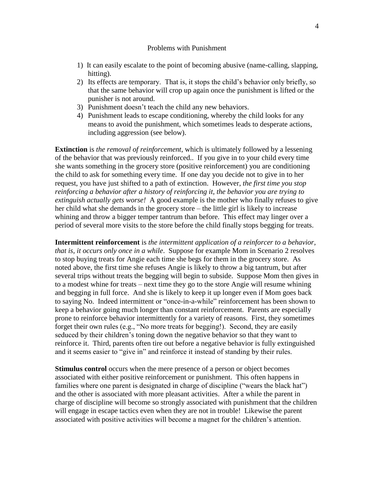#### Problems with Punishment

- 1) It can easily escalate to the point of becoming abusive (name-calling, slapping, hitting).
- 2) Its effects are temporary. That is, it stops the child"s behavior only briefly, so that the same behavior will crop up again once the punishment is lifted or the punisher is not around.
- 3) Punishment doesn"t teach the child any new behaviors.
- 4) Punishment leads to escape conditioning, whereby the child looks for any means to avoid the punishment, which sometimes leads to desperate actions, including aggression (see below).

**Extinction** is *the removal of reinforcement*, which is ultimately followed by a lessening of the behavior that was previously reinforced.. If you give in to your child every time she wants something in the grocery store (positive reinforcement) you are conditioning the child to ask for something every time. If one day you decide not to give in to her request, you have just shifted to a path of extinction. However, *the first time you stop reinforcing a behavior after a history of reinforcing it, the behavior you are trying to extinguish actually gets worse!* A good example is the mother who finally refuses to give her child what she demands in the grocery store – the little girl is likely to increase whining and throw a bigger temper tantrum than before. This effect may linger over a period of several more visits to the store before the child finally stops begging for treats.

**Intermittent reinforcement** is *the intermittent application of a reinforcer to a behavior, that is, it occurs only once in a while*. Suppose for example Mom in Scenario 2 resolves to stop buying treats for Angie each time she begs for them in the grocery store. As noted above, the first time she refuses Angie is likely to throw a big tantrum, but after several trips without treats the begging will begin to subside. Suppose Mom then gives in to a modest whine for treats – next time they go to the store Angie will resume whining and begging in full force. And she is likely to keep it up longer even if Mom goes back to saying No. Indeed intermittent or "once-in-a-while" reinforcement has been shown to keep a behavior going much longer than constant reinforcement. Parents are especially prone to reinforce behavior intermittently for a variety of reasons. First, they sometimes forget their own rules (e.g., "No more treats for begging!). Second, they are easily seduced by their children"s toning down the negative behavior so that they want to reinforce it. Third, parents often tire out before a negative behavior is fully extinguished and it seems easier to "give in" and reinforce it instead of standing by their rules.

**Stimulus control** occurs when the mere presence of a person or object becomes associated with either positive reinforcement or punishment. This often happens in families where one parent is designated in charge of discipline ("wears the black hat") and the other is associated with more pleasant activities. After a while the parent in charge of discipline will become so strongly associated with punishment that the children will engage in escape tactics even when they are not in trouble! Likewise the parent associated with positive activities will become a magnet for the children"s attention.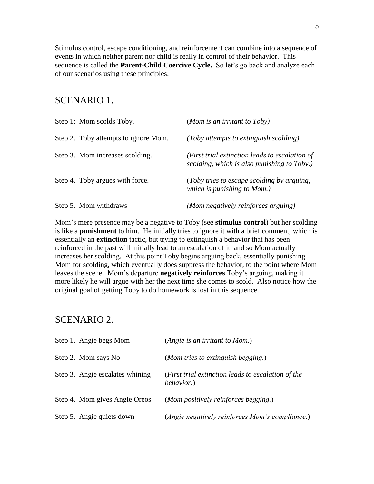Stimulus control, escape conditioning, and reinforcement can combine into a sequence of events in which neither parent nor child is really in control of their behavior. This sequence is called the **Parent-Child Coercive Cycle.** So let"s go back and analyze each of our scenarios using these principles.

## SCENARIO 1.

| Step 1: Mom scolds Toby.             | (Mom is an irritant to Toby)                                                                  |
|--------------------------------------|-----------------------------------------------------------------------------------------------|
| Step 2. Toby attempts to ignore Mom. | (Toby attempts to extinguish scolding)                                                        |
| Step 3. Mom increases scolding.      | (First trial extinction leads to escalation of<br>scolding, which is also punishing to Toby.) |
| Step 4. Toby argues with force.      | (Toby tries to escape scolding by arguing,<br>which is punishing to Mom.)                     |
| Step 5. Mom withdraws                | (Mom negatively reinforces arguing)                                                           |

Mom"s mere presence may be a negative to Toby (see **stimulus control**) but her scolding is like a **punishment** to him. He initially tries to ignore it with a brief comment, which is essentially an **extinction** tactic, but trying to extinguish a behavior that has been reinforced in the past will initially lead to an escalation of it, and so Mom actually increases her scolding. At this point Toby begins arguing back, essentially punishing Mom for scolding, which eventually does suppress the behavior, to the point where Mom leaves the scene. Mom"s departure **negatively reinforces** Toby"s arguing, making it more likely he will argue with her the next time she comes to scold. Also notice how the original goal of getting Toby to do homework is lost in this sequence.

## SCENARIO 2.

| Step 1. Angie begs Mom          | (Angie is an irritant to Mom.)                                           |
|---------------------------------|--------------------------------------------------------------------------|
| Step 2. Mom says No             | (Mom tries to extinguish begging.)                                       |
| Step 3. Angie escalates whining | (First trial extinction leads to escalation of the<br><i>behavior.</i> ) |
| Step 4. Mom gives Angie Oreos   | (Mom positively reinforces begging.)                                     |
| Step 5. Angie quiets down       | (Angie negatively reinforces Mom's compliance.)                          |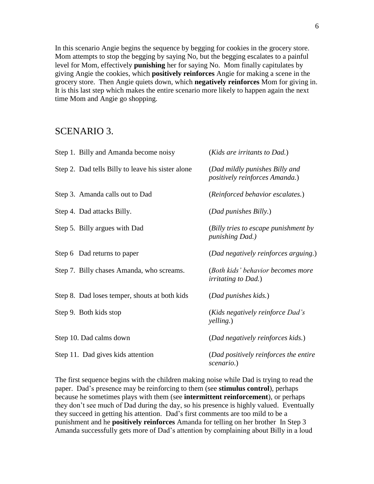In this scenario Angie begins the sequence by begging for cookies in the grocery store. Mom attempts to stop the begging by saying No, but the begging escalates to a painful level for Mom, effectively **punishing** her for saying No. Mom finally capitulates by giving Angie the cookies, which **positively reinforces** Angie for making a scene in the grocery store. Then Angie quiets down, which **negatively reinforces** Mom for giving in. It is this last step which makes the entire scenario more likely to happen again the next time Mom and Angie go shopping.

# SCENARIO 3.

| Step 1. Billy and Amanda become noisy             | (Kids are irritants to Dad.)                                     |
|---------------------------------------------------|------------------------------------------------------------------|
| Step 2. Dad tells Billy to leave his sister alone | (Dad mildly punishes Billy and<br>positively reinforces Amanda.) |
| Step 3. Amanda calls out to Dad                   | (Reinforced behavior escalates.)                                 |
| Step 4. Dad attacks Billy.                        | (Dad punishes Billy.)                                            |
| Step 5. Billy argues with Dad                     | (Billy tries to escape punishment by<br><i>punishing Dad.)</i>   |
| Step 6 Dad returns to paper                       | (Dad negatively reinforces arguing.)                             |
| Step 7. Billy chases Amanda, who screams.         | (Both kids' behavior becomes more<br><i>irritating to Dad.</i> ) |
| Step 8. Dad loses temper, shouts at both kids     | (Dad punishes kids.)                                             |
| Step 9. Both kids stop                            | (Kids negatively reinforce Dad's<br>yelling.)                    |
| Step 10. Dad calms down                           | (Dad negatively reinforces kids.)                                |
| Step 11. Dad gives kids attention                 | (Dad positively reinforces the entire<br>scenario.)              |

The first sequence begins with the children making noise while Dad is trying to read the paper. Dad"s presence may be reinforcing to them (see **stimulus control**), perhaps because he sometimes plays with them (see **intermittent reinforcement**), or perhaps they don"t see much of Dad during the day, so his presence is highly valued. Eventually they succeed in getting his attention. Dad"s first comments are too mild to be a punishment and he **positively reinforces** Amanda for telling on her brother In Step 3 Amanda successfully gets more of Dad"s attention by complaining about Billy in a loud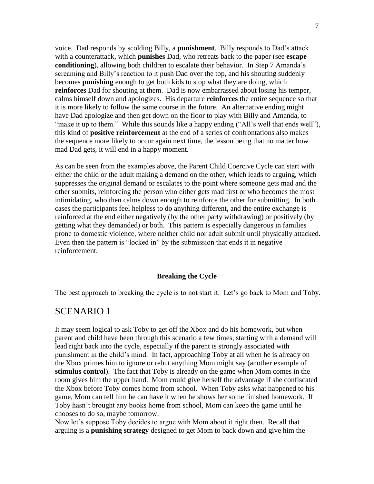voice. Dad responds by scolding Billy, a **punishment**. Billy responds to Dad"s attack with a counterattack, which **punishes** Dad, who retreats back to the paper (see **escape conditioning**), allowing both children to escalate their behavior. In Step 7 Amanda"s screaming and Billy"s reaction to it push Dad over the top, and his shouting suddenly becomes **punishing** enough to get both kids to stop what they are doing, which **reinforces** Dad for shouting at them. Dad is now embarrassed about losing his temper, calms himself down and apologizes. His departure **reinforces** the entire sequence so that it is more likely to follow the same course in the future. An alternative ending might have Dad apologize and then get down on the floor to play with Billy and Amanda, to "make it up to them." While this sounds like a happy ending ("All's well that ends well"), this kind of **positive reinforcement** at the end of a series of confrontations also makes the sequence more likely to occur again next time, the lesson being that no matter how mad Dad gets, it will end in a happy moment.

As can be seen from the examples above, the Parent Child Coercive Cycle can start with either the child or the adult making a demand on the other, which leads to arguing, which suppresses the original demand or escalates to the point where someone gets mad and the other submits, reinforcing the person who either gets mad first or who becomes the most intimidating, who then calms down enough to reinforce the other for submitting. In both cases the participants feel helpless to do anything different, and the entire exchange is reinforced at the end either negatively (by the other party withdrawing) or positively (by getting what they demanded) or both. This pattern is especially dangerous in families prone to domestic violence, where neither child nor adult submit until physically attacked. Even then the pattern is "locked in" by the submission that ends it in negative reinforcement.

#### **Breaking the Cycle**

The best approach to breaking the cycle is to not start it. Let's go back to Mom and Toby.

# SCENARIO 1.

It may seem logical to ask Toby to get off the Xbox and do his homework, but when parent and child have been through this scenario a few times, starting with a demand will lead right back into the cycle, especially if the parent is strongly associated with punishment in the child"s mind. In fact, approaching Toby at all when he is already on the Xbox primes him to ignore or rebut anything Mom might say (another example of **stimulus control**). The fact that Toby is already on the game when Mom comes in the room gives him the upper hand. Mom could give herself the advantage if she confiscated the Xbox before Toby comes home from school. When Toby asks what happened to his game, Mom can tell him he can have it when he shows her some finished homework. If Toby hasn"t brought any books home from school, Mom can keep the game until he chooses to do so, maybe tomorrow.

Now let's suppose Toby decides to argue with Mom about it right then. Recall that arguing is a **punishing strategy** designed to get Mom to back down and give him the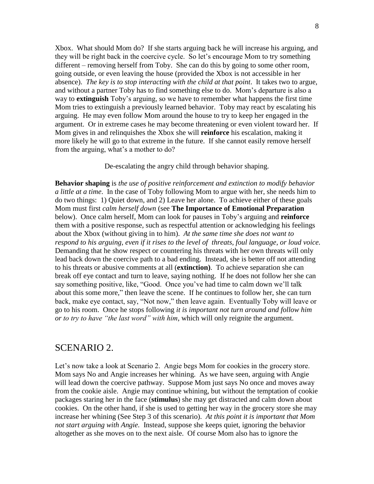Xbox. What should Mom do? If she starts arguing back he will increase his arguing, and they will be right back in the coercive cycle. So let"s encourage Mom to try something different – removing herself from Toby. She can do this by going to some other room, going outside, or even leaving the house (provided the Xbox is not accessible in her absence). *The key is to stop interacting with the child at that point*. It takes two to argue, and without a partner Toby has to find something else to do. Mom"s departure is also a way to **extinguish** Toby"s arguing, so we have to remember what happens the first time Mom tries to extinguish a previously learned behavior. Toby may react by escalating his arguing. He may even follow Mom around the house to try to keep her engaged in the argument. Or in extreme cases he may become threatening or even violent toward her. If Mom gives in and relinquishes the Xbox she will **reinforce** his escalation, making it more likely he will go to that extreme in the future. If she cannot easily remove herself from the arguing, what's a mother to do?

De-escalating the angry child through behavior shaping.

**Behavior shaping** is *the use of positive reinforcement and extinction to modify behavior a little at a time*. In the case of Toby following Mom to argue with her, she needs him to do two things: 1) Quiet down, and 2) Leave her alone. To achieve either of these goals Mom must first *calm herself down* (see **The Importance of Emotional Preparation** below). Once calm herself, Mom can look for pauses in Toby"s arguing and **reinforce** them with a positive response, such as respectful attention or acknowledging his feelings about the Xbox (without giving in to him). *At the same time she does not want to respond to his arguing, even if it rises to the level of threats, foul language, or loud voice.*  Demanding that he show respect or countering his threats with her own threats will only lead back down the coercive path to a bad ending. Instead, she is better off not attending to his threats or abusive comments at all (**extinction)**. To achieve separation she can break off eye contact and turn to leave, saying nothing. If he does not follow her she can say something positive, like, "Good. Once you"ve had time to calm down we"ll talk about this some more," then leave the scene. If he continues to follow her, she can turn back, make eye contact, say, "Not now," then leave again. Eventually Toby will leave or go to his room. Once he stops following *it is important not turn around and follow him or to try to have "the last word" with him*, which will only reignite the argument.

#### SCENARIO 2.

Let's now take a look at Scenario 2. Angie begs Mom for cookies in the grocery store. Mom says No and Angie increases her whining. As we have seen, arguing with Angie will lead down the coercive pathway. Suppose Mom just says No once and moves away from the cookie aisle. Angie may continue whining, but without the temptation of cookie packages staring her in the face (**stimulus**) she may get distracted and calm down about cookies. On the other hand, if she is used to getting her way in the grocery store she may increase her whining (See Step 3 of this scenario). *At this point it is important that Mom not start arguing with Angie.* Instead, suppose she keeps quiet, ignoring the behavior altogether as she moves on to the next aisle. Of course Mom also has to ignore the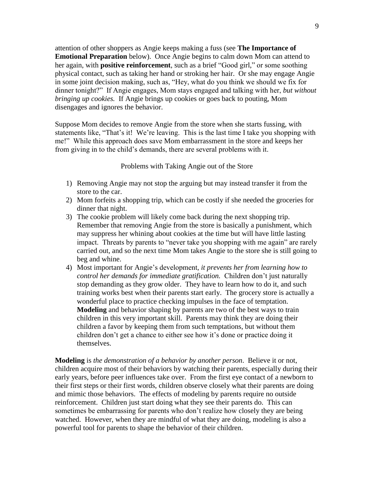attention of other shoppers as Angie keeps making a fuss (see **The Importance of Emotional Preparation** below). Once Angie begins to calm down Mom can attend to her again, with **positive reinforcement**, such as a brief "Good girl," or some soothing physical contact, such as taking her hand or stroking her hair. Or she may engage Angie in some joint decision making, such as, "Hey, what do you think we should we fix for dinner tonight?" If Angie engages, Mom stays engaged and talking with her, *but without bringing up cookies.* If Angie brings up cookies or goes back to pouting, Mom disengages and ignores the behavior.

Suppose Mom decides to remove Angie from the store when she starts fussing, with statements like, "That's it! We're leaving. This is the last time I take you shopping with me!" While this approach does save Mom embarrassment in the store and keeps her from giving in to the child"s demands, there are several problems with it.

Problems with Taking Angie out of the Store

- 1) Removing Angie may not stop the arguing but may instead transfer it from the store to the car.
- 2) Mom forfeits a shopping trip, which can be costly if she needed the groceries for dinner that night.
- 3) The cookie problem will likely come back during the next shopping trip. Remember that removing Angie from the store is basically a punishment, which may suppress her whining about cookies at the time but will have little lasting impact. Threats by parents to "never take you shopping with me again" are rarely carried out, and so the next time Mom takes Angie to the store she is still going to beg and whine.
- 4) Most important for Angie"s development*, it prevents her from learning how to control her demands for immediate gratification.* Children don"t just naturally stop demanding as they grow older. They have to learn how to do it, and such training works best when their parents start early. The grocery store is actually a wonderful place to practice checking impulses in the face of temptation. **Modeling** and behavior shaping by parents are two of the best ways to train children in this very important skill. Parents may think they are doing their children a favor by keeping them from such temptations, but without them children don"t get a chance to either see how it"s done or practice doing it themselves.

**Modeling** is *the demonstration of a behavior by another person*. Believe it or not, children acquire most of their behaviors by watching their parents, especially during their early years, before peer influences take over. From the first eye contact of a newborn to their first steps or their first words, children observe closely what their parents are doing and mimic those behaviors. The effects of modeling by parents require no outside reinforcement. Children just start doing what they see their parents do. This can sometimes be embarrassing for parents who don't realize how closely they are being watched. However, when they are mindful of what they are doing, modeling is also a powerful tool for parents to shape the behavior of their children.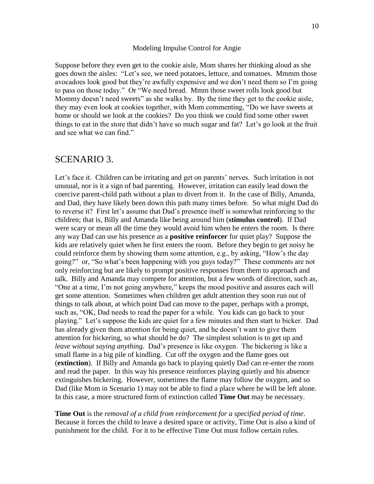#### Modeling Impulse Control for Angie

Suppose before they even get to the cookie aisle, Mom shares her thinking aloud as she goes down the aisles: "Let's see, we need potatoes, lettuce, and tomatoes. Mmmm those avocadoes look good but they"re awfully expensive and we don"t need them so I"m going to pass on those today." Or "We need bread. Mmm those sweet rolls look good but Mommy doesn't need sweets" as she walks by. By the time they get to the cookie aisle, they may even look at cookies together, with Mom commenting, "Do we have sweets at home or should we look at the cookies? Do you think we could find some other sweet things to eat in the store that didn"t have so much sugar and fat? Let"s go look at the fruit and see what we can find."

#### SCENARIO 3.

Let's face it. Children can be irritating and get on parents' nerves. Such irritation is not unusual, nor is it a sign of bad parenting. However, irritation can easily lead down the coercive parent-child path without a plan to divert from it. In the case of Billy, Amanda, and Dad, they have likely been down this path many times before. So what might Dad do to reverse it? First let"s assume that Dad"s presence itself is somewhat reinforcing to the children; that is, Billy and Amanda like being around him (**stimulus control**). If Dad were scary or mean all the time they would avoid him when he enters the room. Is there any way Dad can use his presence as a **positive reinforcer** for quiet play? Suppose the kids are relatively quiet when he first enters the room. Before they begin to get noisy he could reinforce them by showing them some attention, e.g., by asking, "How"s the day going?" or, "So what"s been happening with you guys today?" These comments are not only reinforcing but are likely to prompt positive responses from them to approach and talk. Billy and Amanda may compete for attention, but a few words of direction, such as, "One at a time, I"m not going anywhere," keeps the mood positive and assures each will get some attention. Sometimes when children get adult attention they soon run out of things to talk about, at which point Dad can move to the paper, perhaps with a prompt, such as, "OK, Dad needs to read the paper for a while. You kids can go back to your playing." Let's suppose the kids are quiet for a few minutes and then start to bicker. Dad has already given them attention for being quiet, and he doesn"t want to give them attention for bickering, so what should he do? The simplest solution is to get up and *leave without saying anything.* Dad"s presence is like oxygen. The bickering is like a small flame in a big pile of kindling. Cut off the oxygen and the flame goes out (**extinction**). If Billy and Amanda go back to playing quietly Dad can re-enter the room and read the paper. In this way his presence reinforces playing quietly and his absence extinguishes bickering. However, sometimes the flame may follow the oxygen, and so Dad (like Mom in Scenario 1) may not be able to find a place where he will be left alone. In this case, a more structured form of extinction called **Time Out** may be necessary.

**Time Out** is the *removal of a child from reinforcement for a specified period of time*. Because it forces the child to leave a desired space or activity, Time Out is also a kind of punishment for the child. For it to be effective Time Out must follow certain rules.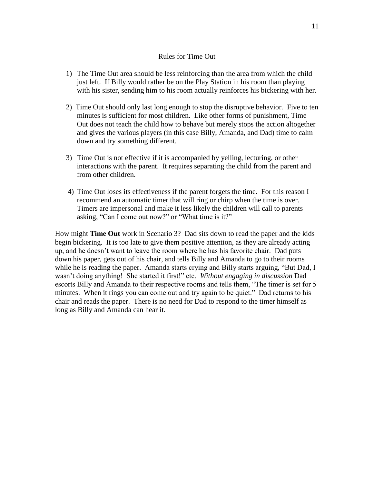#### Rules for Time Out

- 1) The Time Out area should be less reinforcing than the area from which the child just left.If Billy would rather be on the Play Station in his room than playing with his sister, sending him to his room actually reinforces his bickering with her.
- 2) Time Out should only last long enough to stop the disruptive behavior*.* Five to ten minutes is sufficient for most children. Like other forms of punishment, Time Out does not teach the child how to behave but merely stops the action altogether and gives the various players (in this case Billy, Amanda, and Dad) time to calm down and try something different.
- 3) Time Out is not effective if it is accompanied by yelling, lecturing, or other interactions with the parent. It requires separating the child from the parent and from other children.
- 4) Time Out loses its effectiveness if the parent forgets the time. For this reason I recommend an automatic timer that will ring or chirp when the time is over. Timers are impersonal and make it less likely the children will call to parents asking, "Can I come out now?" or "What time is it?"

How might **Time Out** work in Scenario 3? Dad sits down to read the paper and the kids begin bickering. It is too late to give them positive attention, as they are already acting up, and he doesn"t want to leave the room where he has his favorite chair. Dad puts down his paper, gets out of his chair, and tells Billy and Amanda to go to their rooms while he is reading the paper. Amanda starts crying and Billy starts arguing, "But Dad, I wasn"t doing anything! She started it first!" etc. *Without engaging in discussion* Dad escorts Billy and Amanda to their respective rooms and tells them, "The timer is set for 5 minutes. When it rings you can come out and try again to be quiet." Dad returns to his chair and reads the paper. There is no need for Dad to respond to the timer himself as long as Billy and Amanda can hear it.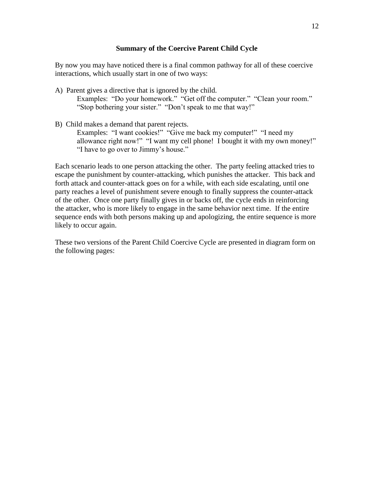#### **Summary of the Coercive Parent Child Cycle**

By now you may have noticed there is a final common pathway for all of these coercive interactions, which usually start in one of two ways:

- A) Parent gives a directive that is ignored by the child. Examples: "Do your homework." "Get off the computer." "Clean your room." "Stop bothering your sister." "Don"t speak to me that way!"
- B) Child makes a demand that parent rejects.

Examples: "I want cookies!" "Give me back my computer!" "I need my allowance right now!" "I want my cell phone! I bought it with my own money!" "I have to go over to Jimmy"s house."

Each scenario leads to one person attacking the other. The party feeling attacked tries to escape the punishment by counter-attacking, which punishes the attacker. This back and forth attack and counter-attack goes on for a while, with each side escalating, until one party reaches a level of punishment severe enough to finally suppress the counter-attack of the other. Once one party finally gives in or backs off, the cycle ends in reinforcing the attacker, who is more likely to engage in the same behavior next time. If the entire sequence ends with both persons making up and apologizing, the entire sequence is more likely to occur again.

These two versions of the Parent Child Coercive Cycle are presented in diagram form on the following pages: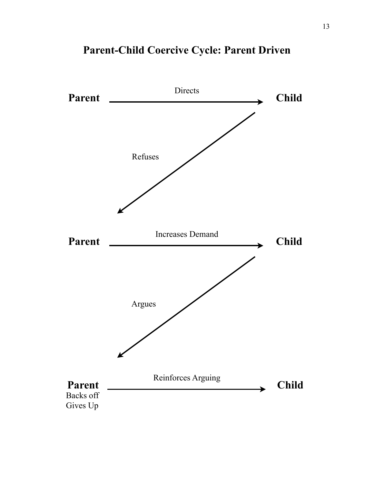

# **Parent-Child Coercive Cycle: Parent Driven**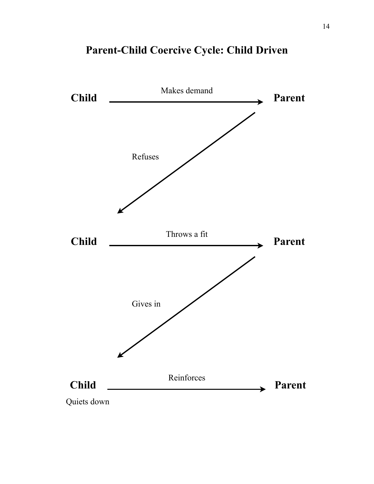

# **Parent-Child Coercive Cycle: Child Driven**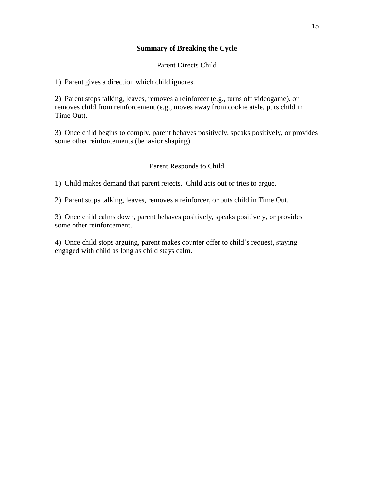#### **Summary of Breaking the Cycle**

#### Parent Directs Child

1) Parent gives a direction which child ignores.

2) Parent stops talking, leaves, removes a reinforcer (e.g., turns off videogame), or removes child from reinforcement (e.g., moves away from cookie aisle, puts child in Time Out).

3) Once child begins to comply, parent behaves positively, speaks positively, or provides some other reinforcements (behavior shaping).

#### Parent Responds to Child

1) Child makes demand that parent rejects. Child acts out or tries to argue.

2) Parent stops talking, leaves, removes a reinforcer, or puts child in Time Out.

3) Once child calms down, parent behaves positively, speaks positively, or provides some other reinforcement.

4) Once child stops arguing, parent makes counter offer to child"s request, staying engaged with child as long as child stays calm.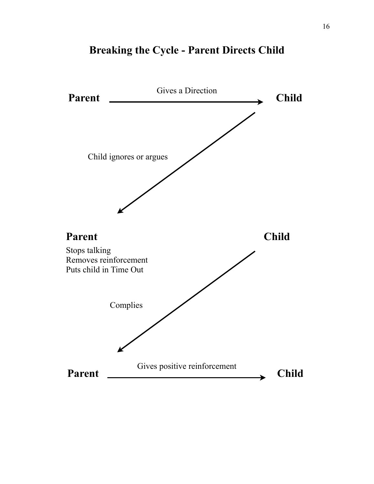

# **Breaking the Cycle - Parent Directs Child**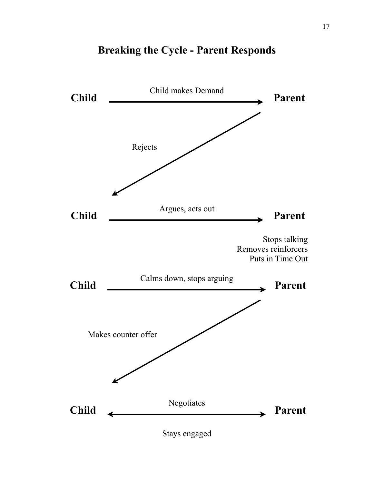

# **Breaking the Cycle - Parent Responds**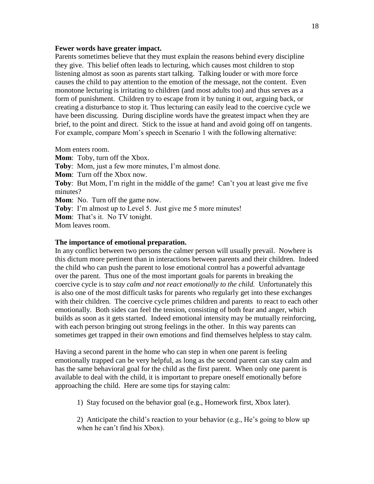#### **Fewer words have greater impact.**

Parents sometimes believe that they must explain the reasons behind every discipline they give. This belief often leads to lecturing, which causes most children to stop listening almost as soon as parents start talking. Talking louder or with more force causes the child to pay attention to the emotion of the message, not the content. Even monotone lecturing is irritating to children (and most adults too) and thus serves as a form of punishment. Children try to escape from it by tuning it out, arguing back, or creating a disturbance to stop it. Thus lecturing can easily lead to the coercive cycle we have been discussing. During discipline words have the greatest impact when they are brief, to the point and direct. Stick to the issue at hand and avoid going off on tangents. For example, compare Mom"s speech in Scenario 1 with the following alternative:

Mom enters room.

**Mom**: Toby, turn off the Xbox. **Toby**: Mom, just a few more minutes, I'm almost done. **Mom**: Turn off the Xbox now. **Toby**: But Mom, I'm right in the middle of the game! Can't you at least give me five minutes? **Mom**: No. Turn off the game now. **Toby**: I'm almost up to Level 5. Just give me 5 more minutes! **Mom**: That's it. No TV tonight. Mom leaves room.

#### **The importance of emotional preparation.**

In any conflict between two persons the calmer person will usually prevail. Nowhere is this dictum more pertinent than in interactions between parents and their children. Indeed the child who can push the parent to lose emotional control has a powerful advantage over the parent. Thus one of the most important goals for parents in breaking the coercive cycle is to s*tay calm and not react emotionally to the child.* Unfortunately this is also one of the most difficult tasks for parents who regularly get into these exchanges with their children. The coercive cycle primes children and parents to react to each other emotionally. Both sides can feel the tension, consisting of both fear and anger, which builds as soon as it gets started. Indeed emotional intensity may be mutually reinforcing, with each person bringing out strong feelings in the other. In this way parents can sometimes get trapped in their own emotions and find themselves helpless to stay calm.

Having a second parent in the home who can step in when one parent is feeling emotionally trapped can be very helpful, as long as the second parent can stay calm and has the same behavioral goal for the child as the first parent. When only one parent is available to deal with the child, it is important to prepare oneself emotionally before approaching the child. Here are some tips for staying calm:

1) Stay focused on the behavior goal (e.g., Homework first, Xbox later).

2) Anticipate the child"s reaction to your behavior (e.g., He"s going to blow up when he can't find his Xbox).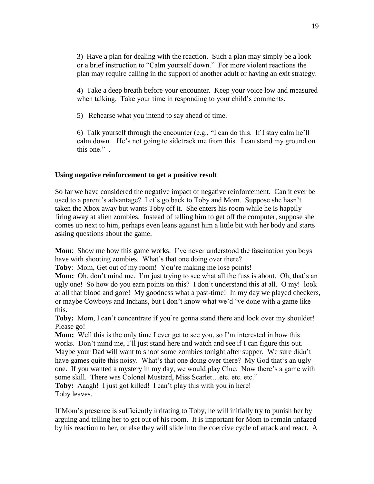3) Have a plan for dealing with the reaction. Such a plan may simply be a look or a brief instruction to "Calm yourself down." For more violent reactions the plan may require calling in the support of another adult or having an exit strategy.

4) Take a deep breath before your encounter. Keep your voice low and measured when talking. Take your time in responding to your child's comments.

5) Rehearse what you intend to say ahead of time.

6) Talk yourself through the encounter (e.g., "I can do this. If I stay calm he"ll calm down. He"s not going to sidetrack me from this. I can stand my ground on this one." .

#### **Using negative reinforcement to get a positive result**

So far we have considered the negative impact of negative reinforcement. Can it ever be used to a parent's advantage? Let's go back to Toby and Mom. Suppose she hasn't taken the Xbox away but wants Toby off it. She enters his room while he is happily firing away at alien zombies. Instead of telling him to get off the computer, suppose she comes up next to him, perhaps even leans against him a little bit with her body and starts asking questions about the game.

**Mom**: Show me how this game works. I've never understood the fascination you boys have with shooting zombies. What's that one doing over there?

**Toby**: Mom, Get out of my room! You're making me lose points!

**Mom:** Oh, don't mind me. I'm just trying to see what all the fuss is about. Oh, that's an ugly one! So how do you earn points on this? I don"t understand this at all. O my! look at all that blood and gore! My goodness what a past-time! In my day we played checkers, or maybe Cowboys and Indians, but I don"t know what we"d "ve done with a game like this.

**Toby:** Mom, I can't concentrate if you're gonna stand there and look over my shoulder! Please go!

**Mom:** Well this is the only time I ever get to see you, so I'm interested in how this works. Don't mind me, I'll just stand here and watch and see if I can figure this out. Maybe your Dad will want to shoot some zombies tonight after supper. We sure didn"t have games quite this noisy. What's that one doing over there? My God that's an ugly one. If you wanted a mystery in my day, we would play Clue. Now there"s a game with some skill. There was Colonel Mustard, Miss Scarlet...etc. etc."

**Toby:** Aaagh! I just got killed! I can't play this with you in here! Toby leaves.

If Mom"s presence is sufficiently irritating to Toby, he will initially try to punish her by arguing and telling her to get out of his room. It is important for Mom to remain unfazed by his reaction to her, or else they will slide into the coercive cycle of attack and react. A